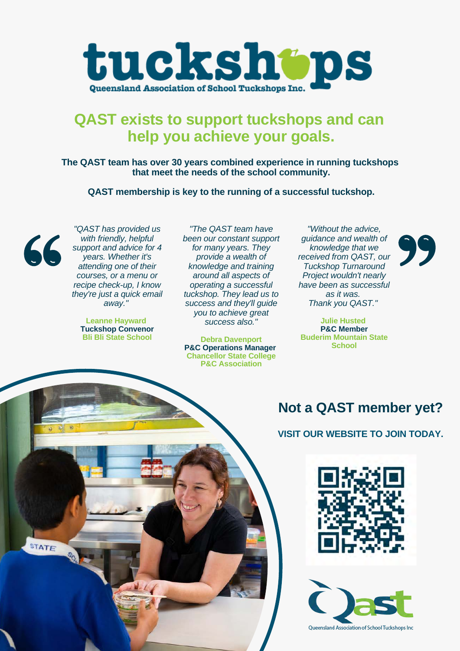

# **QAST exists to support tuckshops and can help you achieve your goals.**

**The QAST team has over 30 years combined experience in running tuckshops that meet the needs of the school community.**

**QAST membership is key to the running of a successful tuckshop.**



**STATE** 

*"QAST has provided us with friendly, helpful support and advice for 4 years. Whether it's attending one of their courses, or a menu or recipe check-up, I know they're just a quick email away."*

**Leanne Hayward Tuckshop Convenor Bli Bli State School**

*"The QAST team have been our constant support for many years. They provide a wealth of knowledge and training around all aspects of operating a successful tuckshop. They lead us to success and they'll guide you to achieve great success also."*

**Debra Davenport P&C Operations Manager Chancellor State College P&C Association**

*"Without the advice, guidance and wealth of knowledge that we received from QAST, our Tuckshop Turnaround Project wouldn't nearly have been as successful as it was. Thank you QAST."*

**Julie Husted P&C Member Buderim Mountain State School**

## **Not a QAST member yet?**

#### **VISIT OUR WEBSITE TO JOIN TODAY.**





Queensland Association of School Tuckshops Inc